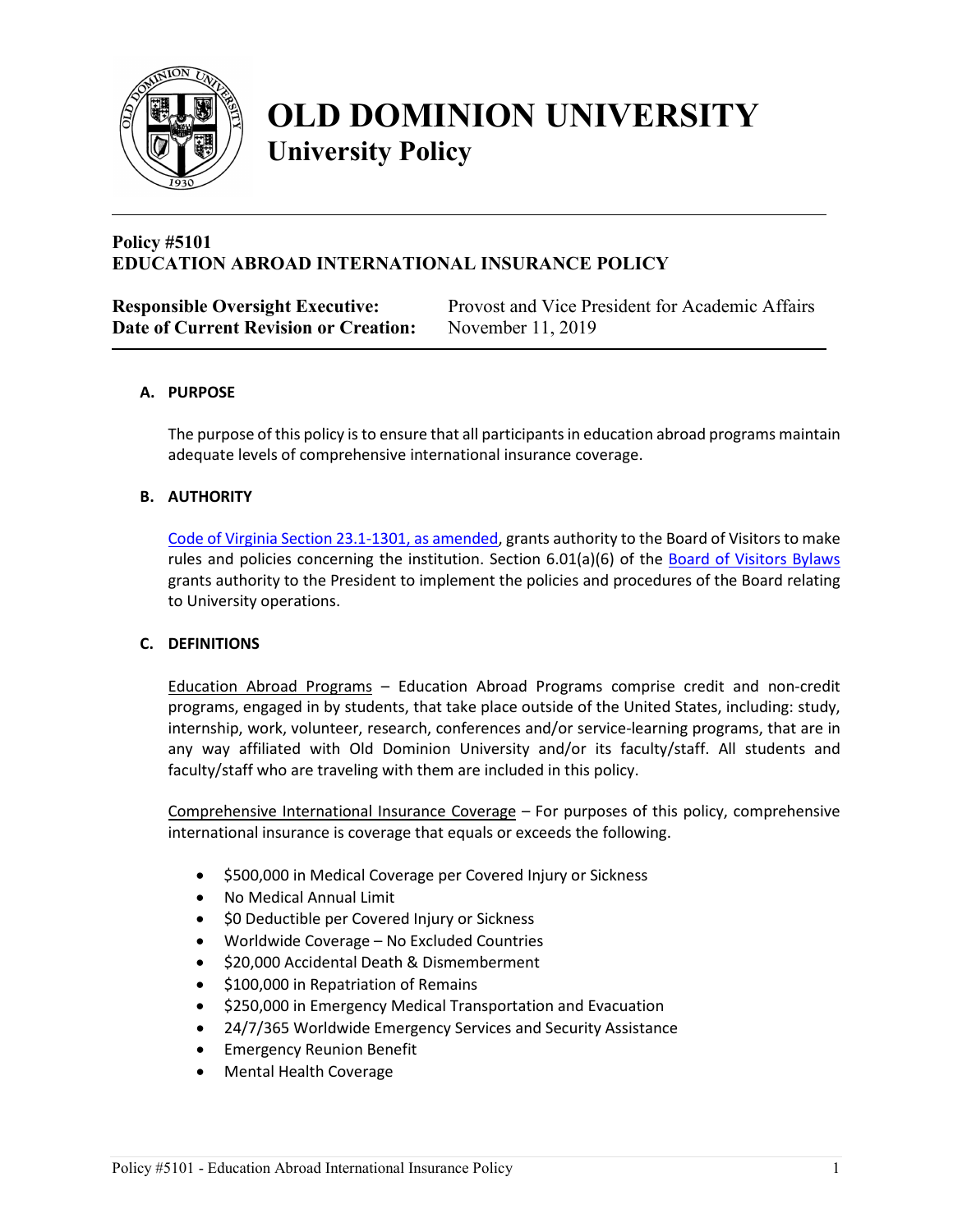

# **OLD DOMINION UNIVERSITY University Policy**

### **Policy #5101 EDUCATION ABROAD INTERNATIONAL INSURANCE POLICY**

| <b>Responsible Oversight Executive:</b> | Provost and Vice President for Academic Affairs |
|-----------------------------------------|-------------------------------------------------|
| Date of Current Revision or Creation:   | November 11, 2019                               |

#### **A. PURPOSE**

The purpose of this policy is to ensure that all participants in education abroad programs maintain adequate levels of comprehensive international insurance coverage.

#### **B. AUTHORITY**

[Code of Virginia Section 23.1-1301, as amended,](https://law.lis.virginia.gov/vacode/title23.1/chapter13/section23.1-1301/) grants authority to the Board of Visitors to make rules and policies concerning the institution. Section 6.01(a)(6) of the [Board of Visitors Bylaws](http://www.odu.edu/content/odu/about/bov/bov-manual/bylaws.html) grants authority to the President to implement the policies and procedures of the Board relating to University operations.

#### **C. DEFINITIONS**

Education Abroad Programs – Education Abroad Programs comprise credit and non-credit programs, engaged in by students, that take place outside of the United States, including: study, internship, work, volunteer, research, conferences and/or service-learning programs, that are in any way affiliated with Old Dominion University and/or its faculty/staff. All students and faculty/staff who are traveling with them are included in this policy.

Comprehensive International Insurance Coverage – For purposes of this policy, comprehensive international insurance is coverage that equals or exceeds the following.

- \$500,000 in Medical Coverage per Covered Injury or Sickness
- No Medical Annual Limit
- \$0 Deductible per Covered Injury or Sickness
- Worldwide Coverage No Excluded Countries
- \$20,000 Accidental Death & Dismemberment
- \$100,000 in Repatriation of Remains
- \$250,000 in Emergency Medical Transportation and Evacuation
- 24/7/365 Worldwide Emergency Services and Security Assistance
- Emergency Reunion Benefit
- Mental Health Coverage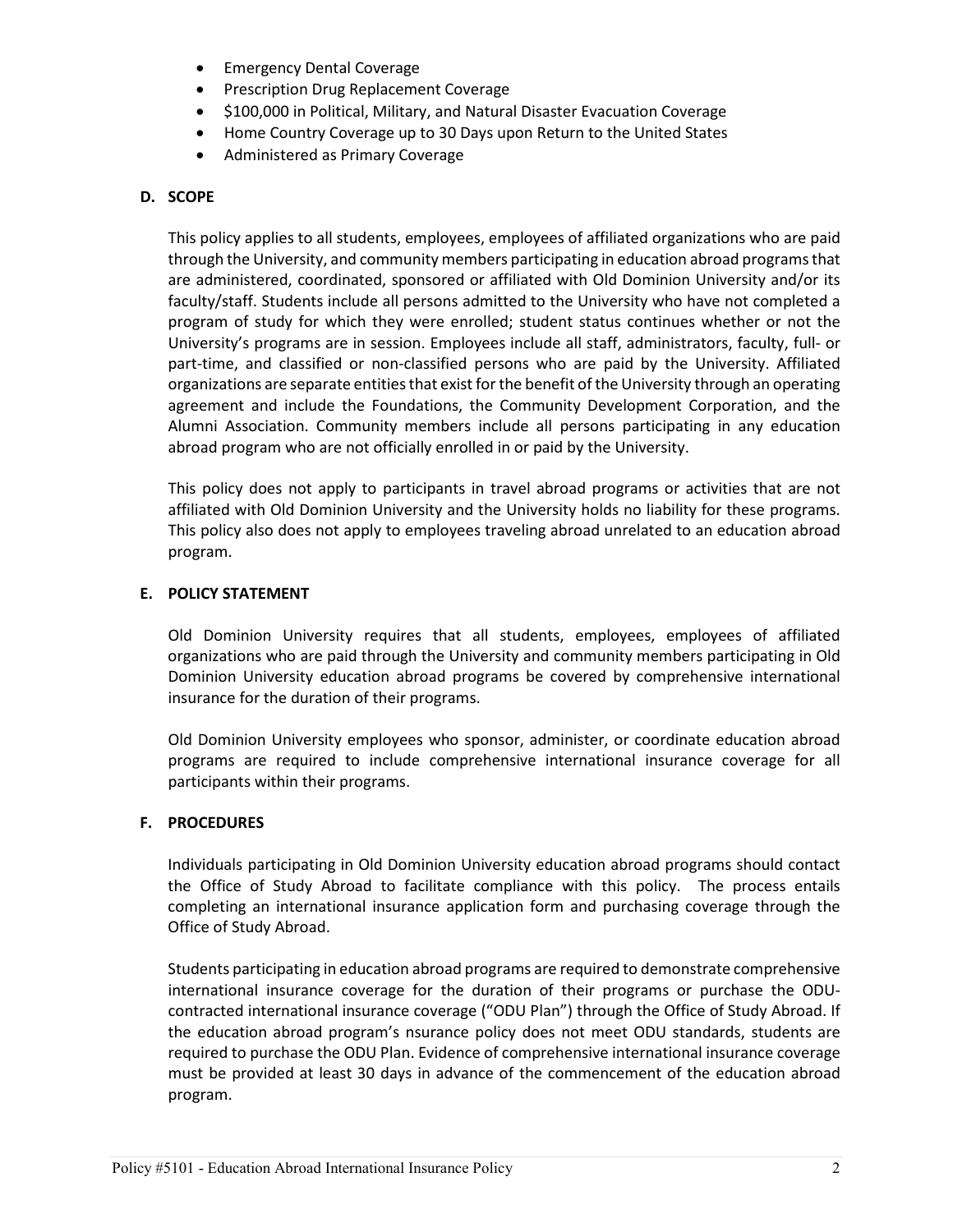- Emergency Dental Coverage
- Prescription Drug Replacement Coverage
- \$100,000 in Political, Military, and Natural Disaster Evacuation Coverage
- Home Country Coverage up to 30 Days upon Return to the United States
- Administered as Primary Coverage

#### **D. SCOPE**

This policy applies to all students, employees, employees of affiliated organizations who are paid through the University, and community members participating in education abroad programsthat are administered, coordinated, sponsored or affiliated with Old Dominion University and/or its faculty/staff. Students include all persons admitted to the University who have not completed a program of study for which they were enrolled; student status continues whether or not the University's programs are in session. Employees include all staff, administrators, faculty, full- or part-time, and classified or non-classified persons who are paid by the University. Affiliated organizations are separate entities that exist for the benefit of the University through an operating agreement and include the Foundations, the Community Development Corporation, and the Alumni Association. Community members include all persons participating in any education abroad program who are not officially enrolled in or paid by the University.

This policy does not apply to participants in travel abroad programs or activities that are not affiliated with Old Dominion University and the University holds no liability for these programs. This policy also does not apply to employees traveling abroad unrelated to an education abroad program.

#### **E. POLICY STATEMENT**

Old Dominion University requires that all students, employees, employees of affiliated organizations who are paid through the University and community members participating in Old Dominion University education abroad programs be covered by comprehensive international insurance for the duration of their programs.

Old Dominion University employees who sponsor, administer, or coordinate education abroad programs are required to include comprehensive international insurance coverage for all participants within their programs.

#### **F. PROCEDURES**

Individuals participating in Old Dominion University education abroad programs should contact the Office of Study Abroad to facilitate compliance with this policy. The process entails completing an international insurance application form and purchasing coverage through the Office of Study Abroad.

Students participating in education abroad programs are required to demonstrate comprehensive international insurance coverage for the duration of their programs or purchase the ODUcontracted international insurance coverage ("ODU Plan") through the Office of Study Abroad. If the education abroad program's nsurance policy does not meet ODU standards, students are required to purchase the ODU Plan. Evidence of comprehensive international insurance coverage must be provided at least 30 days in advance of the commencement of the education abroad program.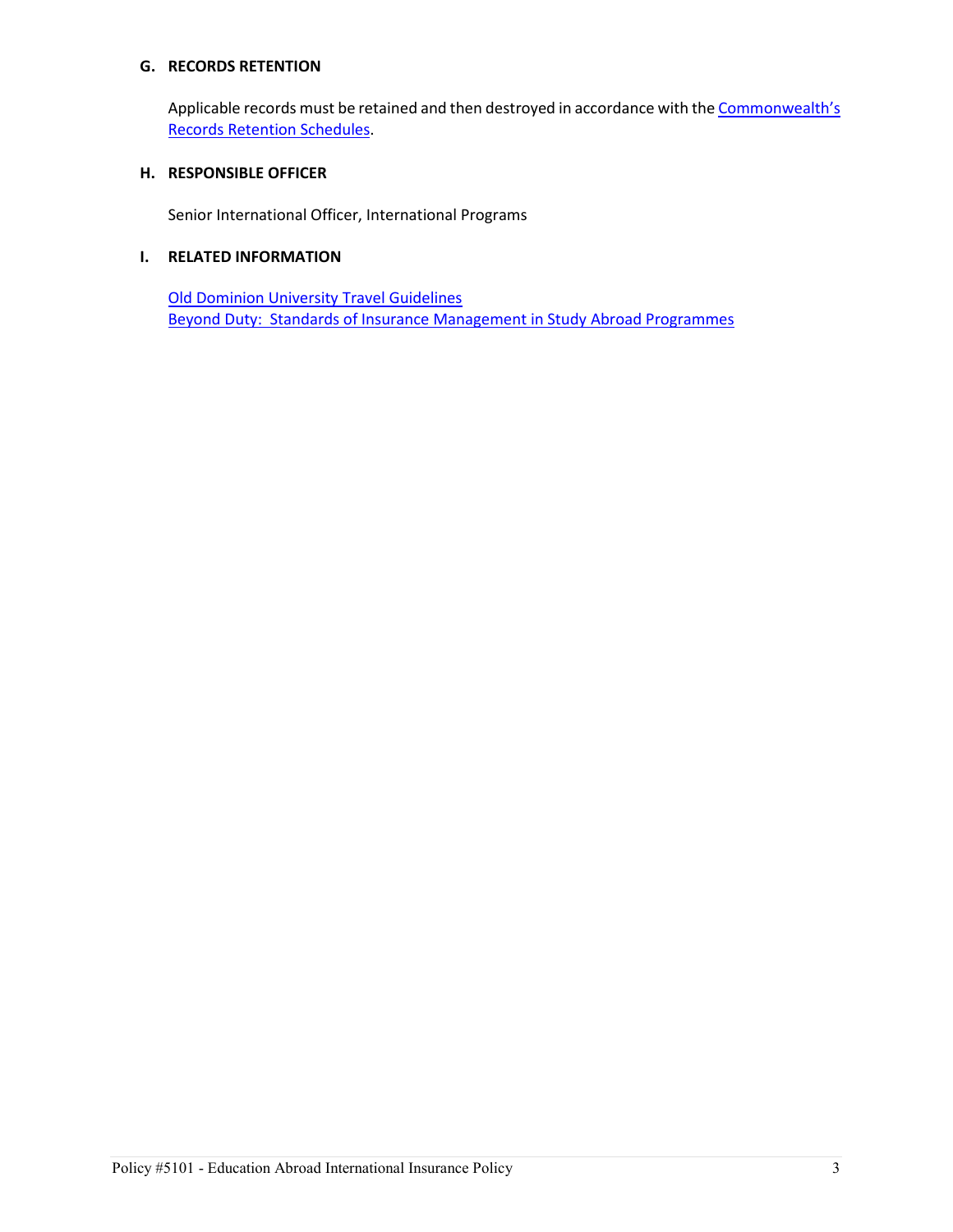#### **G. RECORDS RETENTION**

Applicable records must be retained and then destroyed in accordance with the Commonwealth's [Records Retention Schedules.](http://www.lva.virginia.gov/agencies/records/sched_state/index.htm)

#### **H. RESPONSIBLE OFFICER**

Senior International Officer, International Programs

#### **I. RELATED INFORMATION**

[Old Dominion University Travel Guidelines](https://www.odu.edu/facultystaff/university-business/travel/guidelines) [Beyond Duty: Standards of Insurance Management in Study Abroad Programmes](https://www.nafsa.org/_/File/_/InternationalEducator/EAMarApr05SITE.pdf)